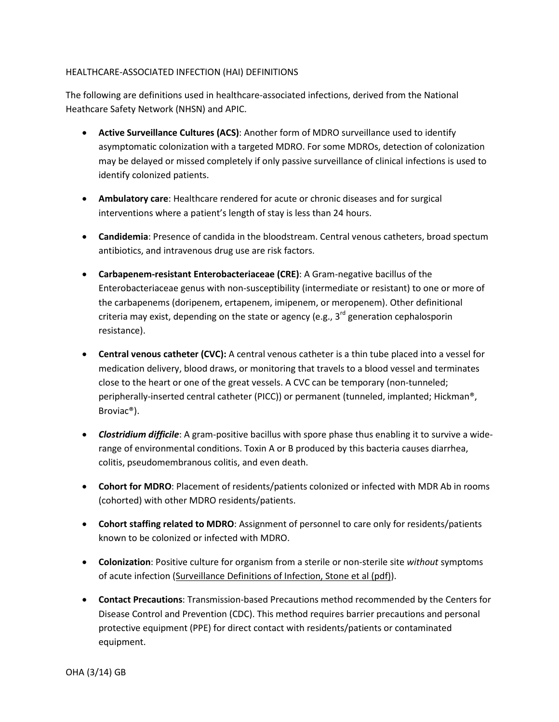## HEALTHCARE-ASSOCIATED INFECTION (HAI) DEFINITIONS

The following are definitions used in healthcare-associated infections, derived from the National Heathcare Safety Network (NHSN) and APIC.

- **Active Surveillance Cultures (ACS)**: Another form of MDRO surveillance used to identify asymptomatic colonization with a targeted MDRO. For some MDROs, detection of colonization may be delayed or missed completely if only passive surveillance of clinical infections is used to identify colonized patients.
- **Ambulatory care**: Healthcare rendered for acute or chronic diseases and for surgical interventions where a patient's length of stay is less than 24 hours.
- **Candidemia**: Presence of candida in the bloodstream. Central venous catheters, broad spectum antibiotics, and intravenous drug use are risk factors.
- **Carbapenem-resistant Enterobacteriaceae (CRE)**: A Gram-negative bacillus of the Enterobacteriaceae genus with non-susceptibility (intermediate or resistant) to one or more of the carbapenems (doripenem, ertapenem, imipenem, or meropenem). Other definitional criteria may exist, depending on the state or agency (e.g.,  $3^{rd}$  generation cephalosporin resistance).
- **Central venous catheter (CVC):** A central venous catheter is a thin tube placed into a vessel for medication delivery, blood draws, or monitoring that travels to a blood vessel and terminates close to the heart or one of the great vessels. A CVC can be temporary (non-tunneled; peripherally-inserted central catheter (PICC)) or permanent (tunneled, implanted; Hickman®, Broviac®).
- *Clostridium difficile*: A gram-positive bacillus with spore phase thus enabling it to survive a widerange of environmental conditions. Toxin A or B produced by this bacteria causes diarrhea, colitis, pseudomembranous colitis, and even death.
- **Cohort for MDRO**: Placement of residents/patients colonized or infected with MDR Ab in rooms (cohorted) with other MDRO residents/patients.
- **Cohort staffing related to MDRO**: Assignment of personnel to care only for residents/patients known to be colonized or infected with MDRO.
- **Colonization**: Positive culture for organism from a sterile or non-sterile site *without* symptoms of acute infection (Surveillance Definitions of Infection, Stone et al (pdf)).
- **Contact Precautions**: Transmission-based Precautions method recommended by the Centers for Disease Control and Prevention (CDC). This method requires barrier precautions and personal protective equipment (PPE) for direct contact with residents/patients or contaminated equipment.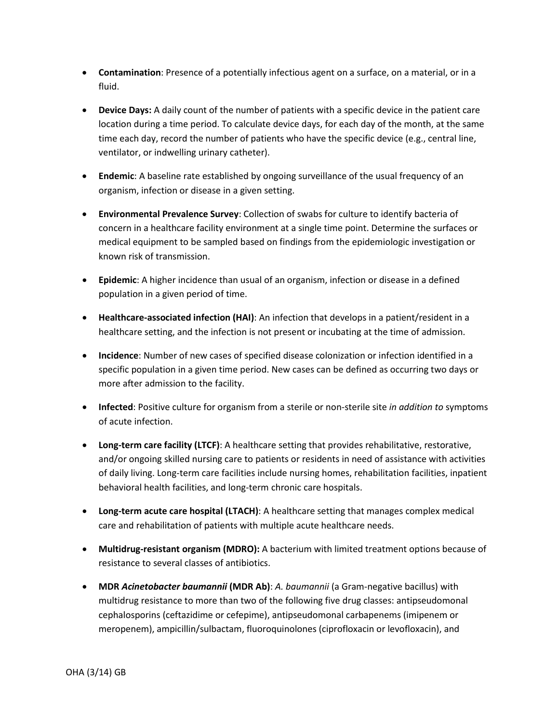- **Contamination**: Presence of a potentially infectious agent on a surface, on a material, or in a fluid.
- **Device Days:** A daily count of the number of patients with a specific device in the patient care location during a time period. To calculate device days, for each day of the month, at the same time each day, record the number of patients who have the specific device (e.g., central line, ventilator, or indwelling urinary catheter).
- **Endemic**: A baseline rate established by ongoing surveillance of the usual frequency of an organism, infection or disease in a given setting.
- **Environmental Prevalence Survey**: Collection of swabs for culture to identify bacteria of concern in a healthcare facility environment at a single time point. Determine the surfaces or medical equipment to be sampled based on findings from the epidemiologic investigation or known risk of transmission.
- **Epidemic**: A higher incidence than usual of an organism, infection or disease in a defined population in a given period of time.
- **Healthcare-associated infection (HAI)**: An infection that develops in a patient/resident in a healthcare setting, and the infection is not present or incubating at the time of admission.
- **Incidence**: Number of new cases of specified disease colonization or infection identified in a specific population in a given time period. New cases can be defined as occurring two days or more after admission to the facility.
- **Infected**: Positive culture for organism from a sterile or non-sterile site *in addition to* symptoms of acute infection.
- **Long-term care facility (LTCF)**: A healthcare setting that provides rehabilitative, restorative, and/or ongoing skilled nursing care to patients or residents in need of assistance with activities of daily living. Long-term care facilities include nursing homes, rehabilitation facilities, inpatient behavioral health facilities, and long-term chronic care hospitals.
- **Long-term acute care hospital (LTACH)**: A healthcare setting that manages complex medical care and rehabilitation of patients with multiple acute healthcare needs.
- **Multidrug-resistant organism (MDRO):** A bacterium with limited treatment options because of resistance to several classes of antibiotics.
- **MDR** *Acinetobacter baumannii* **(MDR Ab)**: *A. baumannii* (a Gram-negative bacillus) with multidrug resistance to more than two of the following five drug classes: antipseudomonal cephalosporins (ceftazidime or cefepime), antipseudomonal carbapenems (imipenem or meropenem), ampicillin/sulbactam, fluoroquinolones (ciprofloxacin or levofloxacin), and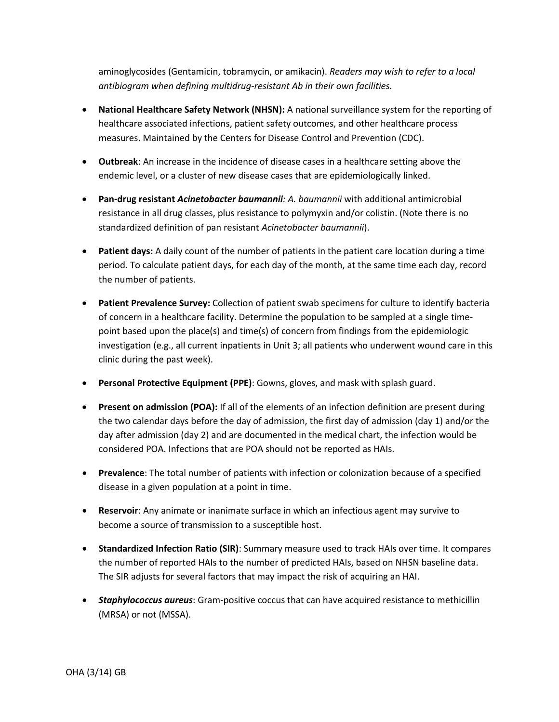aminoglycosides (Gentamicin, tobramycin, or amikacin). *Readers may wish to refer to a local antibiogram when defining multidrug-resistant Ab in their own facilities.*

- **National Healthcare Safety Network (NHSN):** A national surveillance system for the reporting of healthcare associated infections, patient safety outcomes, and other healthcare process measures. Maintained by the Centers for Disease Control and Prevention (CDC).
- **Outbreak**: An increase in the incidence of disease cases in a healthcare setting above the endemic level, or a cluster of new disease cases that are epidemiologically linked.
- **Pan-drug resistant** *Acinetobacter baumannii: A. baumannii* with additional antimicrobial resistance in all drug classes, plus resistance to polymyxin and/or colistin. (Note there is no standardized definition of pan resistant *Acinetobacter baumannii*).
- **Patient days:** A daily count of the number of patients in the patient care location during a time period. To calculate patient days, for each day of the month, at the same time each day, record the number of patients.
- **Patient Prevalence Survey:** Collection of patient swab specimens for culture to identify bacteria of concern in a healthcare facility. Determine the population to be sampled at a single timepoint based upon the place(s) and time(s) of concern from findings from the epidemiologic investigation (e.g., all current inpatients in Unit 3; all patients who underwent wound care in this clinic during the past week).
- **Personal Protective Equipment (PPE)**: Gowns, gloves, and mask with splash guard.
- **Present on admission (POA):** If all of the elements of an infection definition are present during the two calendar days before the day of admission, the first day of admission (day 1) and/or the day after admission (day 2) and are documented in the medical chart, the infection would be considered POA. Infections that are POA should not be reported as HAIs.
- **Prevalence**: The total number of patients with infection or colonization because of a specified disease in a given population at a point in time.
- **Reservoir**: Any animate or inanimate surface in which an infectious agent may survive to become a source of transmission to a susceptible host.
- **Standardized Infection Ratio (SIR)**: Summary measure used to track HAIs over time. It compares the number of reported HAIs to the number of predicted HAIs, based on NHSN baseline data. The SIR adjusts for several factors that may impact the risk of acquiring an HAI.
- *Staphylococcus aureus*: Gram-positive coccus that can have acquired resistance to methicillin (MRSA) or not (MSSA).